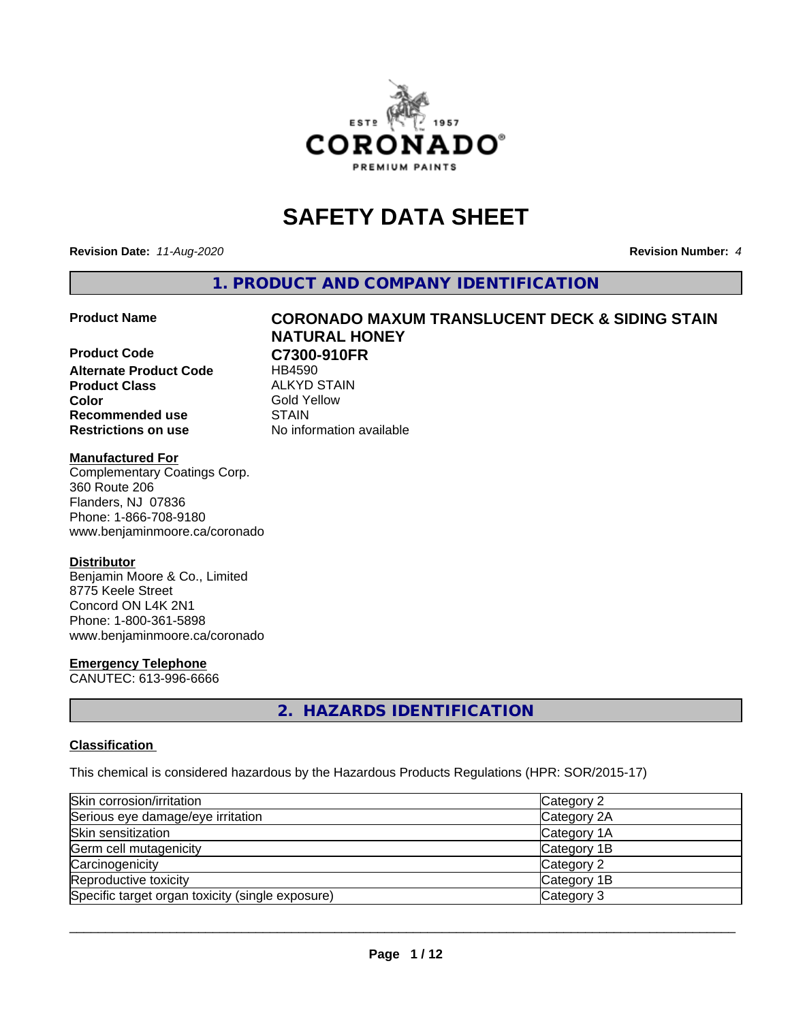

# **SAFETY DATA SHEET**

**Revision Date:** *11-Aug-2020* **Revision Number:** *4*

**1. PRODUCT AND COMPANY IDENTIFICATION**

**Product Code C7300-910FR Alternate Product Code** HB4590 **Product Class** ALKYD STAIN<br> **Color** Gold Yellow **Recommended use STAIN Restrictions on use** No information available

# **Product Name CORONADO MAXUM TRANSLUCENT DECK & SIDING STAIN NATURAL HONEY**

**Gold Yellow** 

#### **Manufactured For**

Complementary Coatings Corp. 360 Route 206 Flanders, NJ 07836 Phone: 1-866-708-9180 www.benjaminmoore.ca/coronado

### **Distributor**

Benjamin Moore & Co., Limited 8775 Keele Street Concord ON L4K 2N1 Phone: 1-800-361-5898 www.benjaminmoore.ca/coronado

### **Emergency Telephone**

CANUTEC: 613-996-6666

# **2. HAZARDS IDENTIFICATION**

### **Classification**

This chemical is considered hazardous by the Hazardous Products Regulations (HPR: SOR/2015-17)

| Skin corrosion/irritation                        | Category 2  |
|--------------------------------------------------|-------------|
| Serious eye damage/eye irritation                | Category 2A |
| Skin sensitization                               | Category 1A |
| Germ cell mutagenicity                           | Category 1B |
| Carcinogenicity                                  | Category 2  |
| Reproductive toxicity                            | Category 1B |
| Specific target organ toxicity (single exposure) | Category 3  |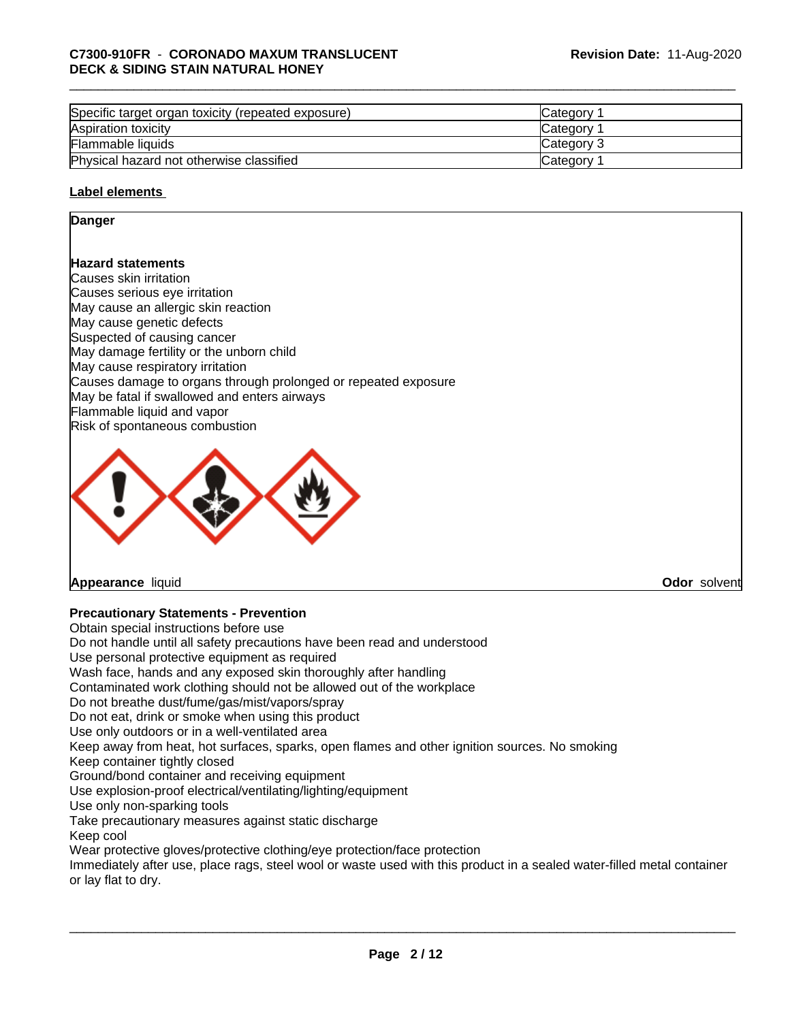| Specific target organ toxicity (repeated exposure) | <b>ICategory</b> |
|----------------------------------------------------|------------------|
| Aspiration toxicity                                | <b>Category</b>  |
| Flammable liquids                                  | Category 3       |
| Physical hazard not otherwise classified           | Category         |

### **Label elements**

### **Danger**

# **Hazard statements**

Causes skin irritation Causes serious eye irritation May cause an allergic skin reaction May cause genetic defects Suspected of causing cancer May damage fertility or the unborn child May cause respiratory irritation Causes damage to organs through prolonged or repeated exposure May be fatal if swallowed and enters airways Flammable liquid and vapor Risk of spontaneous combustion



**Appearance** liquid **Odor** solvent

# **Precautionary Statements - Prevention**

Obtain special instructions before use Do not handle until all safety precautions have been read and understood Use personal protective equipment as required Wash face, hands and any exposed skin thoroughly after handling Contaminated work clothing should not be allowed out of the workplace Do not breathe dust/fume/gas/mist/vapors/spray Do not eat, drink or smoke when using this product Use only outdoors or in a well-ventilated area Keep away from heat, hot surfaces, sparks, open flames and other ignition sources. No smoking Keep container tightly closed Ground/bond container and receiving equipment Use explosion-proof electrical/ventilating/lighting/equipment Use only non-sparking tools Take precautionary measures against static discharge Keep cool Wear protective gloves/protective clothing/eye protection/face protection Immediately after use, place rags, steel wool or waste used with this product in a sealed water-filled metal container or lay flat to dry.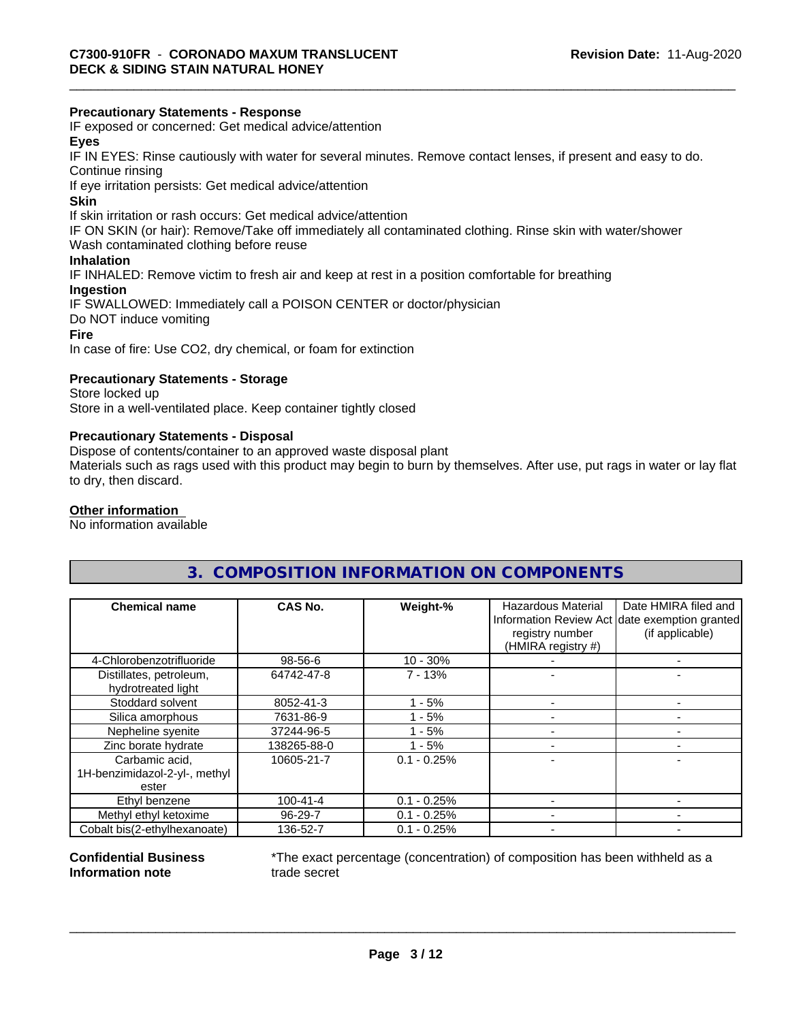# **Precautionary Statements - Response**

IF exposed or concerned: Get medical advice/attention

# **Eyes**

IF IN EYES: Rinse cautiously with water forseveral minutes. Remove contact lenses, if present and easy to do. Continue rinsing

If eye irritation persists: Get medical advice/attention

#### **Skin**

If skin irritation or rash occurs: Get medical advice/attention

IF ON SKIN (or hair): Remove/Take off immediately all contaminated clothing. Rinse skin with water/shower

Wash contaminated clothing before reuse

# **Inhalation**

IF INHALED: Remove victim to fresh air and keep at rest in a position comfortable for breathing

# **Ingestion**

IF SWALLOWED: Immediately call a POISON CENTER or doctor/physician Do NOT induce vomiting **Fire**

In case of fire: Use CO2, dry chemical, or foam for extinction

# **Precautionary Statements - Storage**

Store locked up Store in a well-ventilated place. Keep container tightly closed

### **Precautionary Statements - Disposal**

Dispose of contents/container to an approved waste disposal plant

Materials such as rags used with this product may begin to burn by themselves. After use, put rags in water or lay flat to dry, then discard.

# **Other information**

No information available

# **3. COMPOSITION INFORMATION ON COMPONENTS**

| <b>Chemical name</b>                          | CAS No.        | Weight-%      | <b>Hazardous Material</b><br>registry number<br>(HMIRA registry #) | Date HMIRA filed and<br>Information Review Act date exemption granted<br>(if applicable) |
|-----------------------------------------------|----------------|---------------|--------------------------------------------------------------------|------------------------------------------------------------------------------------------|
| 4-Chlorobenzotrifluoride                      | 98-56-6        | $10 - 30%$    |                                                                    |                                                                                          |
| Distillates, petroleum,<br>hydrotreated light | 64742-47-8     | $7 - 13%$     |                                                                    |                                                                                          |
| Stoddard solvent                              | 8052-41-3      | $1 - 5%$      |                                                                    |                                                                                          |
| Silica amorphous                              | 7631-86-9      | $1 - 5%$      |                                                                    |                                                                                          |
| Nepheline syenite                             | 37244-96-5     | - 5%          |                                                                    |                                                                                          |
| Zinc borate hydrate                           | 138265-88-0    | $1 - 5%$      |                                                                    |                                                                                          |
| Carbamic acid,                                | 10605-21-7     | $0.1 - 0.25%$ |                                                                    |                                                                                          |
| 1H-benzimidazol-2-yl-, methyl                 |                |               |                                                                    |                                                                                          |
| ester                                         |                |               |                                                                    |                                                                                          |
| Ethyl benzene                                 | $100 - 41 - 4$ | $0.1 - 0.25%$ |                                                                    |                                                                                          |
| Methyl ethyl ketoxime                         | 96-29-7        | $0.1 - 0.25%$ |                                                                    |                                                                                          |
| Cobalt bis(2-ethylhexanoate)                  | 136-52-7       | $0.1 - 0.25%$ |                                                                    |                                                                                          |

#### **Confidential Business Information note**

\*The exact percentage (concentration) of composition has been withheld as a trade secret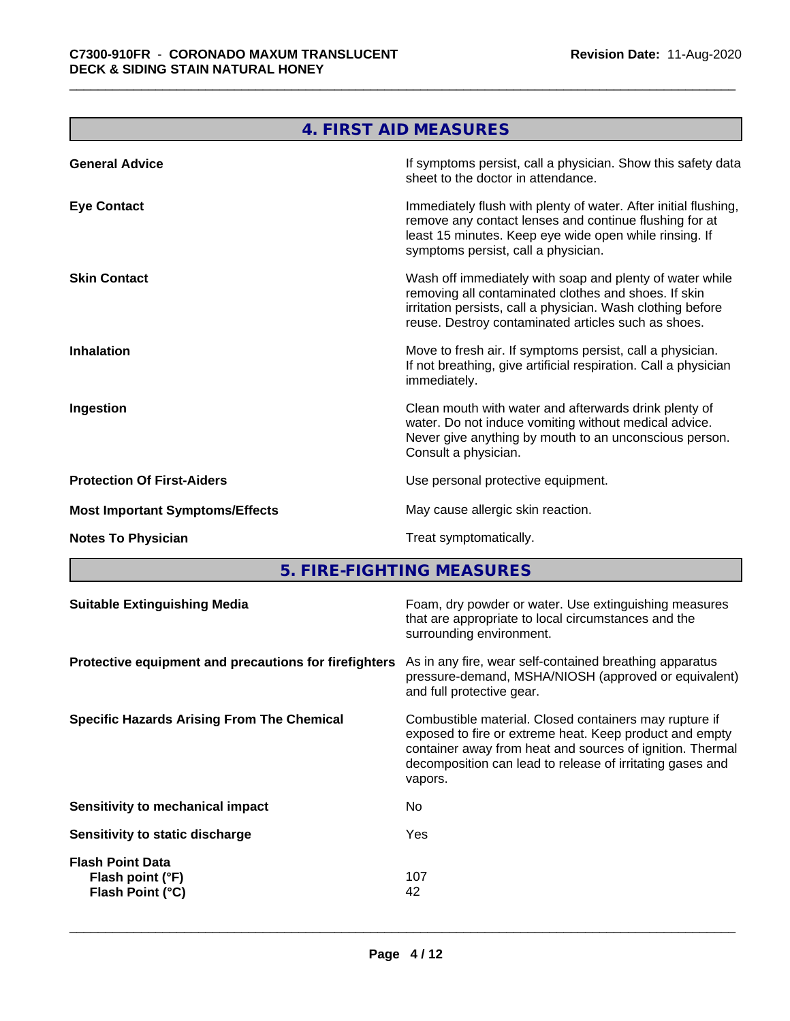and the control of the control of the control of the control of the control of the control of

J.

|                                        | 4. FIRST AID MEASURES                                                                                                                                                                                                                  |
|----------------------------------------|----------------------------------------------------------------------------------------------------------------------------------------------------------------------------------------------------------------------------------------|
| <b>General Advice</b>                  | If symptoms persist, call a physician. Show this safety data<br>sheet to the doctor in attendance.                                                                                                                                     |
| <b>Eye Contact</b>                     | Immediately flush with plenty of water. After initial flushing,<br>remove any contact lenses and continue flushing for at<br>least 15 minutes. Keep eye wide open while rinsing. If<br>symptoms persist, call a physician.             |
| <b>Skin Contact</b>                    | Wash off immediately with soap and plenty of water while<br>removing all contaminated clothes and shoes. If skin<br>irritation persists, call a physician. Wash clothing before<br>reuse. Destroy contaminated articles such as shoes. |
| <b>Inhalation</b>                      | Move to fresh air. If symptoms persist, call a physician.<br>If not breathing, give artificial respiration. Call a physician<br>immediately.                                                                                           |
| Ingestion                              | Clean mouth with water and afterwards drink plenty of<br>water. Do not induce vomiting without medical advice.<br>Never give anything by mouth to an unconscious person.<br>Consult a physician.                                       |
| <b>Protection Of First-Aiders</b>      | Use personal protective equipment.                                                                                                                                                                                                     |
| <b>Most Important Symptoms/Effects</b> | May cause allergic skin reaction.                                                                                                                                                                                                      |
| <b>Notes To Physician</b>              | Treat symptomatically.                                                                                                                                                                                                                 |
|                                        |                                                                                                                                                                                                                                        |

**5. FIRE-FIGHTING MEASURES 1999 THE SET IN A SET IN A SET IN A SET I**N A SET IN A SET IN A SET IN A SET IN A SET IN

| Foam, dry powder or water. Use extinguishing measures<br>that are appropriate to local circumstances and the<br>surrounding environment.                                                                                                               |
|--------------------------------------------------------------------------------------------------------------------------------------------------------------------------------------------------------------------------------------------------------|
| As in any fire, wear self-contained breathing apparatus<br>pressure-demand, MSHA/NIOSH (approved or equivalent)<br>and full protective gear.                                                                                                           |
| Combustible material. Closed containers may rupture if<br>exposed to fire or extreme heat. Keep product and empty<br>container away from heat and sources of ignition. Thermal<br>decomposition can lead to release of irritating gases and<br>vapors. |
| No.                                                                                                                                                                                                                                                    |
| Yes                                                                                                                                                                                                                                                    |
| 107<br>42                                                                                                                                                                                                                                              |
|                                                                                                                                                                                                                                                        |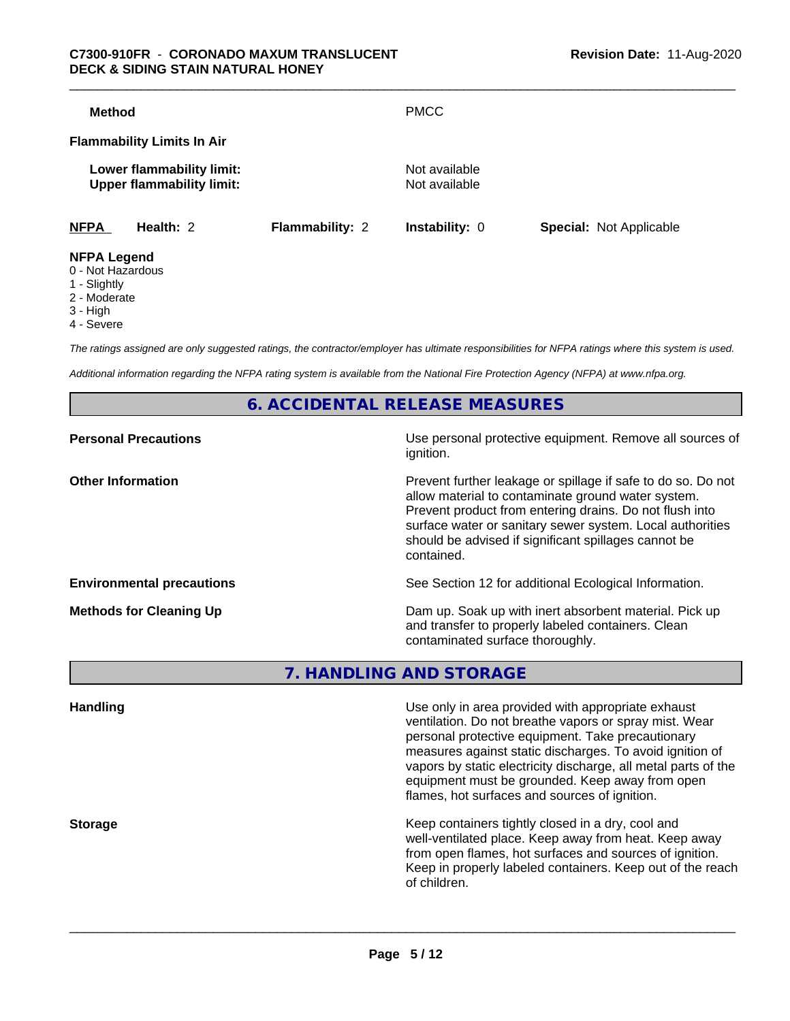| <b>Method</b>                                                 |                        | <b>PMCC</b>                    |                                |
|---------------------------------------------------------------|------------------------|--------------------------------|--------------------------------|
| <b>Flammability Limits In Air</b>                             |                        |                                |                                |
| Lower flammability limit:<br><b>Upper flammability limit:</b> |                        | Not available<br>Not available |                                |
| <b>NFPA</b><br>Health: 2                                      | <b>Flammability: 2</b> | <b>Instability: 0</b>          | <b>Special: Not Applicable</b> |
| <b>NFPA Legend</b>                                            |                        |                                |                                |

- 0 Not Hazardous
- 1 Slightly
- 
- 2 Moderate
- 3 High
- 4 Severe

*The ratings assigned are only suggested ratings, the contractor/employer has ultimate responsibilities for NFPA ratings where this system is used.*

*Additional information regarding the NFPA rating system is available from the National Fire Protection Agency (NFPA) at www.nfpa.org.*

**6. ACCIDENTAL RELEASE MEASURES**

| Use personal protective equipment. Remove all sources of<br>ignition.                                                                                                                                                                                                                                            |
|------------------------------------------------------------------------------------------------------------------------------------------------------------------------------------------------------------------------------------------------------------------------------------------------------------------|
| Prevent further leakage or spillage if safe to do so. Do not<br>allow material to contaminate ground water system.<br>Prevent product from entering drains. Do not flush into<br>surface water or sanitary sewer system. Local authorities<br>should be advised if significant spillages cannot be<br>contained. |
| See Section 12 for additional Ecological Information.                                                                                                                                                                                                                                                            |
| Dam up. Soak up with inert absorbent material. Pick up<br>and transfer to properly labeled containers. Clean<br>contaminated surface thoroughly.                                                                                                                                                                 |
|                                                                                                                                                                                                                                                                                                                  |

**7. HANDLING AND STORAGE**

| <b>Handling</b> | Use only in area provided with appropriate exhaust<br>ventilation. Do not breathe vapors or spray mist. Wear<br>personal protective equipment. Take precautionary<br>measures against static discharges. To avoid ignition of<br>vapors by static electricity discharge, all metal parts of the<br>equipment must be grounded. Keep away from open<br>flames, hot surfaces and sources of ignition. |
|-----------------|-----------------------------------------------------------------------------------------------------------------------------------------------------------------------------------------------------------------------------------------------------------------------------------------------------------------------------------------------------------------------------------------------------|
| <b>Storage</b>  | Keep containers tightly closed in a dry, cool and<br>well-ventilated place. Keep away from heat. Keep away<br>from open flames, hot surfaces and sources of ignition.<br>Keep in properly labeled containers. Keep out of the reach<br>of children.                                                                                                                                                 |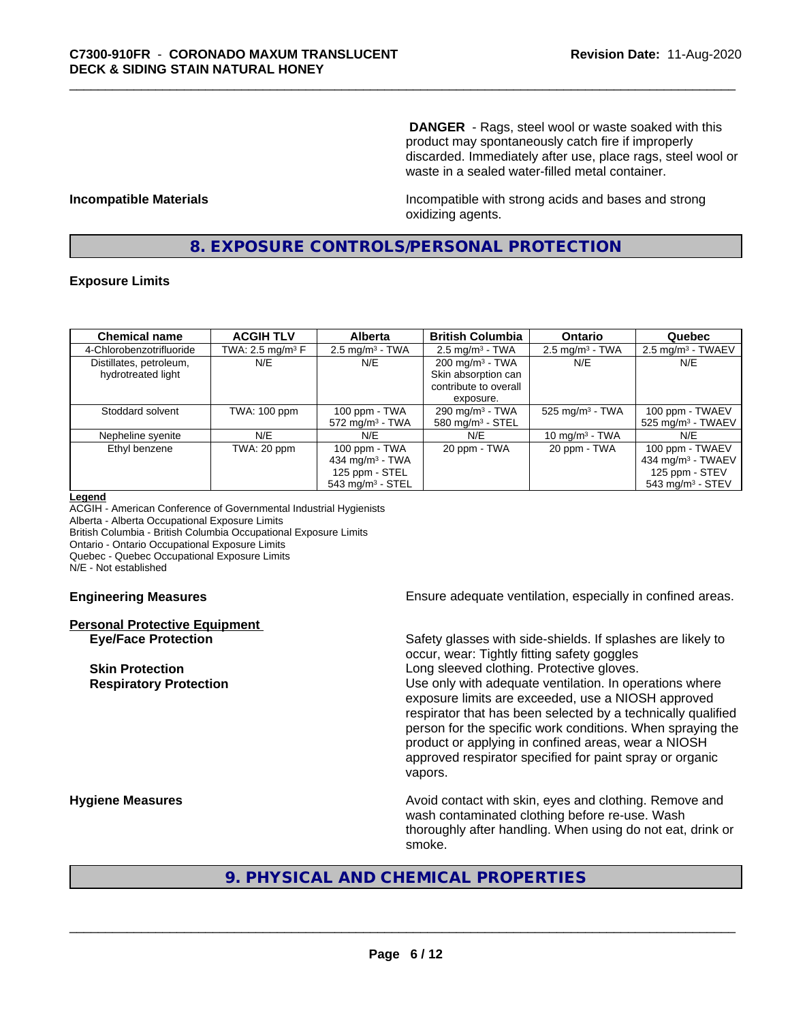**DANGER** - Rags, steel wool or waste soaked with this product may spontaneously catch fire if improperly discarded. Immediately after use, place rags, steel wool or waste in a sealed water-filled metal container.

**Incompatible Materials Incompatible with strong acids and bases and strong** oxidizing agents.

# **8. EXPOSURE CONTROLS/PERSONAL PROTECTION**

### **Exposure Limits**

| <b>Chemical name</b>     | <b>ACGIH TLV</b>    | <b>Alberta</b>                 | <b>British Columbia</b>      | <b>Ontario</b>                | Quebec                          |
|--------------------------|---------------------|--------------------------------|------------------------------|-------------------------------|---------------------------------|
| 4-Chlorobenzotrifluoride | TWA: 2.5 mg/m $3$ F | $2.5$ mg/m <sup>3</sup> - TWA  | $2.5 \text{ mg/m}^3$ - TWA   | $2.5 \text{ mg/m}^3$ - TWA    | $2.5 \text{ mg/m}^3$ - TWAEV    |
| Distillates, petroleum,  | N/E                 | N/E                            | $200 \text{ mg/m}^3$ - TWA   | N/E                           | N/E                             |
| hydrotreated light       |                     |                                | Skin absorption can          |                               |                                 |
|                          |                     |                                | contribute to overall        |                               |                                 |
|                          |                     |                                | exposure.                    |                               |                                 |
| Stoddard solvent         | TWA: 100 ppm        | 100 ppm - TWA                  | 290 mg/m $3$ - TWA           | $525$ mg/m <sup>3</sup> - TWA | 100 ppm - TWAEV                 |
|                          |                     | $572$ mg/m <sup>3</sup> - TWA  | 580 mg/m <sup>3</sup> - STEL |                               | $525$ mg/m <sup>3</sup> - TWAEV |
| Nepheline syenite        | N/E                 | N/E                            | N/E                          | 10 mg/m $3$ - TWA             | N/E                             |
| Ethyl benzene            | TWA: 20 ppm         | 100 ppm - TWA                  | 20 ppm - TWA                 | 20 ppm - TWA                  | 100 ppm - TWAEV                 |
|                          |                     | 434 mg/m $3$ - TWA             |                              |                               | 434 mg/m <sup>3</sup> - TWAEV   |
|                          |                     | 125 ppm - STEL                 |                              |                               | 125 ppm - STEV                  |
|                          |                     | $543$ mg/m <sup>3</sup> - STEL |                              |                               | $543$ mg/m <sup>3</sup> - STEV  |

#### **Legend**

ACGIH - American Conference of Governmental Industrial Hygienists Alberta - Alberta Occupational Exposure Limits British Columbia - British Columbia Occupational Exposure Limits Ontario - Ontario Occupational Exposure Limits Quebec - Quebec Occupational Exposure Limits N/E - Not established

# **Personal Protective Equipment**

**Engineering Measures Ensure** Ensure adequate ventilation, especially in confined areas.

**Eye/Face Protection** Safety glasses with side-shields. If splashes are likely to occur, wear: Tightly fitting safety goggles **Skin Protection Skin Protection Skin Protective gloves.** Long sleeved clothing. Protective gloves. **Respiratory Protection Number 1** (Use only with adequate ventilation. In operations where exposure limits are exceeded, use a NIOSH approved respirator that has been selected by a technically qualified person for the specific work conditions. When spraying the product or applying in confined areas, wear a NIOSH approved respirator specified for paint spray or organic vapors.

**Hygiene Measures Avoid contact with skin, eyes and clothing. Remove and Avoid contact with skin, eyes and clothing. Remove and** wash contaminated clothing before re-use. Wash thoroughly after handling. When using do not eat, drink or smoke.

# **9. PHYSICAL AND CHEMICAL PROPERTIES**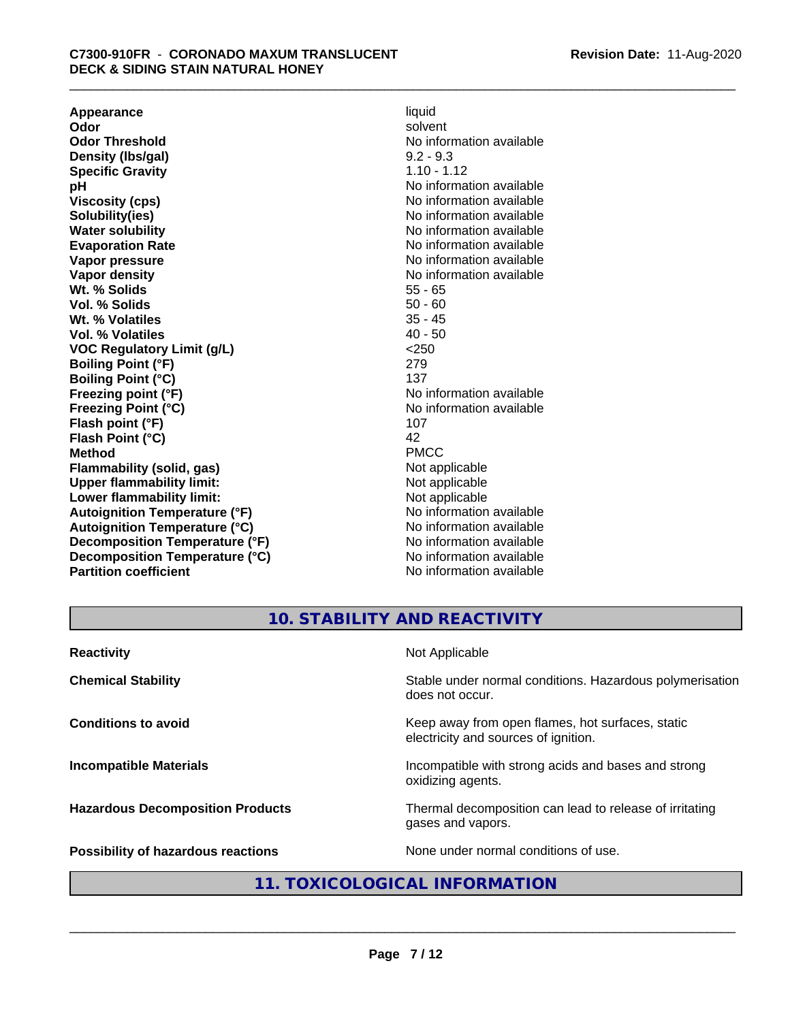**Appearance** liquid and **a liquid development of the set of the set of the set of the set of the set of the set of the set of the set of the set of the set of the set of the set of the set of the set of the set of the set Odor** solvent **Odor Threshold** No information available **Density (Ibs/gal)** 9.2 - 9.3<br> **Specific Gravity** 1.10 - 1.12 **Specific Gravity**<br>pH **Viscosity (cps)** No information available **Solubility(ies)** No information available **Water solubility** No information available **Evaporation Rate No information available No information available Vapor pressure** No information available **Vapor density No information available No** information available **Wt. % Solids** 55 - 65<br> **Vol. % Solids** 50 - 60 **Vol. % Solids** 50 - 60 **Wt. % Volatiles Vol. % Volatiles** 40 - 50 **VOC Regulatory Limit (g/L)** <250 **Boiling Point (°F)** 279 **Boiling Point (°C)** 137<br> **Preezing point (°F)** No interval 137 **Freezing Point (°C)** and **COV** No information available **Flash point (°F)** 107 **Flash Point (°C)** 42 **Method** PMCC **Flammability (solid, gas)**<br> **Commability limit:**<br>
Upper flammability limit:<br>
Not applicable **Upper flammability limit:**<br> **Lower flammability limit:**<br>
Not applicable<br>
Not applicable **Lower flammability limit:**<br> **Autoianition Temperature (°F)** Not applicable Not applicable not a Not applicable **Autoignition Temperature (°F) Autoignition Temperature (°C)** No information available **Decomposition Temperature (°F)** No information available **Decomposition Temperature (°C)** No information available **Partition coefficient** No information available

**No information available No information available** 

# **10. STABILITY AND REACTIVITY**

| <b>Reactivity</b>                         | Not Applicable                                                                           |
|-------------------------------------------|------------------------------------------------------------------------------------------|
| <b>Chemical Stability</b>                 | Stable under normal conditions. Hazardous polymerisation<br>does not occur.              |
| <b>Conditions to avoid</b>                | Keep away from open flames, hot surfaces, static<br>electricity and sources of ignition. |
| <b>Incompatible Materials</b>             | Incompatible with strong acids and bases and strong<br>oxidizing agents.                 |
| <b>Hazardous Decomposition Products</b>   | Thermal decomposition can lead to release of irritating<br>gases and vapors.             |
| <b>Possibility of hazardous reactions</b> | None under normal conditions of use.                                                     |

# **11. TOXICOLOGICAL INFORMATION**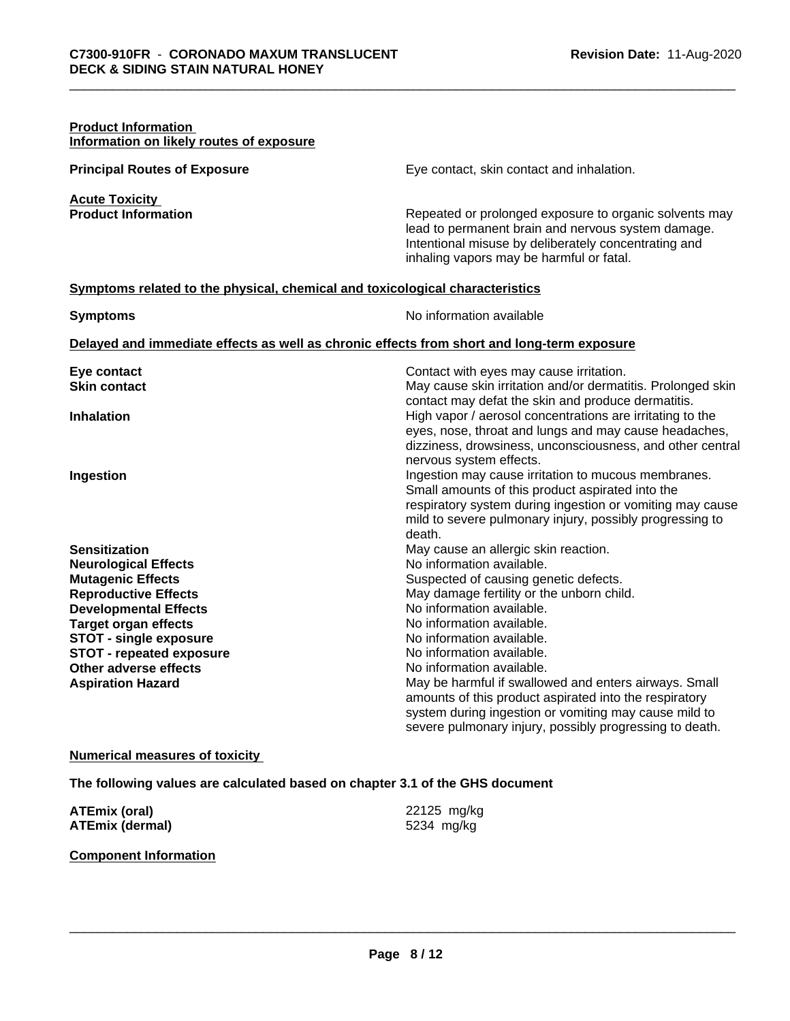| <b>Product Information</b><br>Information on likely routes of exposure                     |                                                                                                                                                                                                                                                                                                                                    |
|--------------------------------------------------------------------------------------------|------------------------------------------------------------------------------------------------------------------------------------------------------------------------------------------------------------------------------------------------------------------------------------------------------------------------------------|
| <b>Principal Routes of Exposure</b>                                                        | Eye contact, skin contact and inhalation.                                                                                                                                                                                                                                                                                          |
| <b>Acute Toxicity</b><br><b>Product Information</b>                                        | Repeated or prolonged exposure to organic solvents may<br>lead to permanent brain and nervous system damage.<br>Intentional misuse by deliberately concentrating and<br>inhaling vapors may be harmful or fatal.                                                                                                                   |
| Symptoms related to the physical, chemical and toxicological characteristics               |                                                                                                                                                                                                                                                                                                                                    |
| <b>Symptoms</b>                                                                            | No information available                                                                                                                                                                                                                                                                                                           |
| Delayed and immediate effects as well as chronic effects from short and long-term exposure |                                                                                                                                                                                                                                                                                                                                    |
| Eye contact                                                                                | Contact with eyes may cause irritation.                                                                                                                                                                                                                                                                                            |
| <b>Skin contact</b>                                                                        | May cause skin irritation and/or dermatitis. Prolonged skin<br>contact may defat the skin and produce dermatitis.                                                                                                                                                                                                                  |
| <b>Inhalation</b>                                                                          | High vapor / aerosol concentrations are irritating to the<br>eyes, nose, throat and lungs and may cause headaches,                                                                                                                                                                                                                 |
| Ingestion                                                                                  | dizziness, drowsiness, unconsciousness, and other central<br>nervous system effects.<br>Ingestion may cause irritation to mucous membranes.<br>Small amounts of this product aspirated into the<br>respiratory system during ingestion or vomiting may cause<br>mild to severe pulmonary injury, possibly progressing to<br>death. |
| <b>Sensitization</b>                                                                       | May cause an allergic skin reaction.                                                                                                                                                                                                                                                                                               |
| <b>Neurological Effects</b>                                                                | No information available.                                                                                                                                                                                                                                                                                                          |
| <b>Mutagenic Effects</b>                                                                   | Suspected of causing genetic defects.                                                                                                                                                                                                                                                                                              |
| <b>Reproductive Effects</b>                                                                | May damage fertility or the unborn child.                                                                                                                                                                                                                                                                                          |
| <b>Developmental Effects</b>                                                               | No information available.                                                                                                                                                                                                                                                                                                          |
| <b>Target organ effects</b>                                                                | No information available.                                                                                                                                                                                                                                                                                                          |
| <b>STOT - single exposure</b><br><b>STOT - repeated exposure</b>                           | No information available.<br>No information available.                                                                                                                                                                                                                                                                             |
| Other adverse effects                                                                      | No information available.                                                                                                                                                                                                                                                                                                          |
| <b>Aspiration Hazard</b>                                                                   | May be harmful if swallowed and enters airways. Small                                                                                                                                                                                                                                                                              |
|                                                                                            | amounts of this product aspirated into the respiratory                                                                                                                                                                                                                                                                             |
|                                                                                            | system during ingestion or vomiting may cause mild to                                                                                                                                                                                                                                                                              |
|                                                                                            | severe pulmonary injury, possibly progressing to death.                                                                                                                                                                                                                                                                            |

# **Numerical measures of toxicity**

**The following values are calculated based on chapter 3.1 of the GHS document**

| <b>ATEmix (oral)</b>   | 22125 mg/kg |
|------------------------|-------------|
| <b>ATEmix (dermal)</b> | 5234 mg/kg  |

# **Component Information**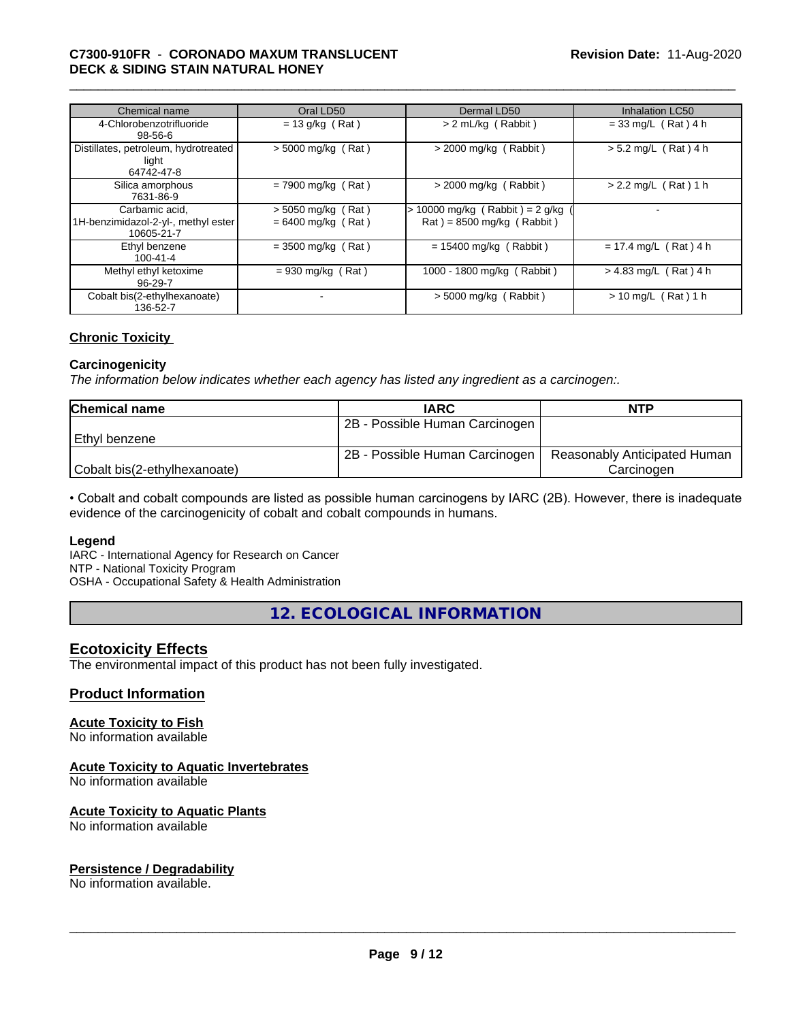# \_\_\_\_\_\_\_\_\_\_\_\_\_\_\_\_\_\_\_\_\_\_\_\_\_\_\_\_\_\_\_\_\_\_\_\_\_\_\_\_\_\_\_\_\_\_\_\_\_\_\_\_\_\_\_\_\_\_\_\_\_\_\_\_\_\_\_\_\_\_\_\_\_\_\_\_\_\_\_\_\_\_\_\_\_\_\_\_\_\_\_\_\_ **C7300-910FR** - **CORONADO MAXUM TRANSLUCENT DECK & SIDING STAIN NATURAL HONEY**

| Chemical name                                                       | Oral LD50                                    | Dermal LD50                                                      | <b>Inhalation LC50</b>  |
|---------------------------------------------------------------------|----------------------------------------------|------------------------------------------------------------------|-------------------------|
| 4-Chlorobenzotrifluoride<br>$98 - 56 - 6$                           | $= 13$ g/kg (Rat)                            | $> 2$ mL/kg (Rabbit)                                             | $= 33$ mg/L (Rat) 4 h   |
| Distillates, petroleum, hydrotreated<br>light<br>64742-47-8         | $>$ 5000 mg/kg (Rat)                         | $>$ 2000 mg/kg (Rabbit)                                          | $> 5.2$ mg/L (Rat) 4 h  |
| Silica amorphous<br>7631-86-9                                       | $= 7900$ mg/kg (Rat)                         | $>$ 2000 mg/kg (Rabbit)                                          | $> 2.2$ mg/L (Rat) 1 h  |
| Carbamic acid,<br>1H-benzimidazol-2-yl-, methyl ester<br>10605-21-7 | $>$ 5050 mg/kg (Rat)<br>$= 6400$ mg/kg (Rat) | $> 10000$ mg/kg (Rabbit) = 2 g/kg<br>$Rat$ = 8500 mg/kg (Rabbit) |                         |
| Ethyl benzene<br>$100 - 41 - 4$                                     | $= 3500$ mg/kg (Rat)                         | $= 15400$ mg/kg (Rabbit)                                         | $= 17.4$ mg/L (Rat) 4 h |
| Methyl ethyl ketoxime<br>96-29-7                                    | $= 930$ mg/kg (Rat)                          | 1000 - 1800 mg/kg (Rabbit)                                       | > 4.83 mg/L (Rat) 4 h   |
| Cobalt bis(2-ethylhexanoate)<br>136-52-7                            | ٠                                            | $>$ 5000 mg/kg (Rabbit)                                          | $> 10$ mg/L (Rat) 1 h   |

# **Chronic Toxicity**

#### **Carcinogenicity**

*The information below indicateswhether each agency has listed any ingredient as a carcinogen:.*

| <b>Chemical name</b>         | <b>IARC</b>                    | <b>NTP</b>                   |
|------------------------------|--------------------------------|------------------------------|
|                              | 2B - Possible Human Carcinogen |                              |
| Ethyl benzene                |                                |                              |
|                              | 2B - Possible Human Carcinogen | Reasonably Anticipated Human |
| Cobalt bis(2-ethylhexanoate) |                                | Carcinoɑen                   |

• Cobalt and cobalt compounds are listed as possible human carcinogens by IARC (2B). However, there is inadequate evidence of the carcinogenicity of cobalt and cobalt compounds in humans.

#### **Legend**

IARC - International Agency for Research on Cancer NTP - National Toxicity Program

OSHA - Occupational Safety & Health Administration

**12. ECOLOGICAL INFORMATION**

# **Ecotoxicity Effects**

The environmental impact of this product has not been fully investigated.

# **Product Information**

# **Acute Toxicity to Fish**

No information available

# **Acute Toxicity to Aquatic Invertebrates**

No information available

### **Acute Toxicity to Aquatic Plants**

No information available

# **Persistence / Degradability**

No information available.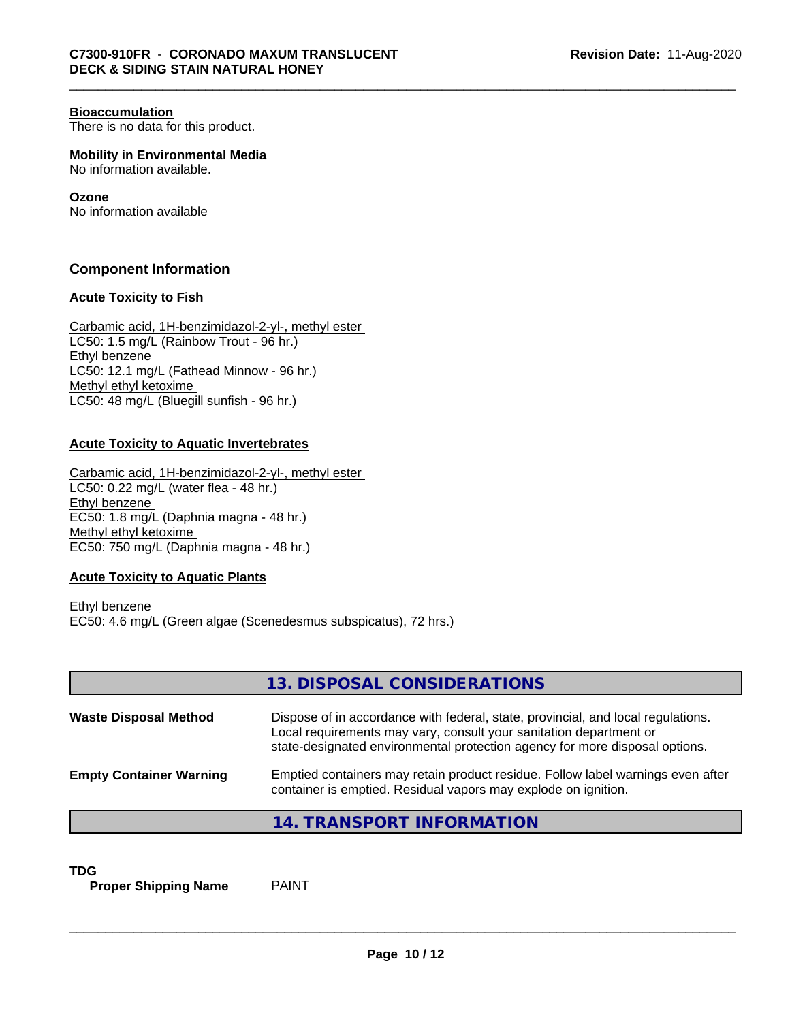#### **Bioaccumulation**

There is no data for this product.

**Mobility in Environmental Media** No information available.

# **Ozone**

No information available

# **Component Information**

### **Acute Toxicity to Fish**

Carbamic acid, 1H-benzimidazol-2-yl-, methyl ester LC50: 1.5 mg/L (Rainbow Trout - 96 hr.) Ethyl benzene LC50: 12.1 mg/L (Fathead Minnow - 96 hr.) Methyl ethyl ketoxime LC50: 48 mg/L (Bluegill sunfish - 96 hr.)

# **Acute Toxicity to Aquatic Invertebrates**

Carbamic acid, 1H-benzimidazol-2-yl-, methyl ester LC50: 0.22 mg/L (water flea - 48 hr.) Ethyl benzene EC50: 1.8 mg/L (Daphnia magna - 48 hr.) Methyl ethyl ketoxime EC50: 750 mg/L (Daphnia magna - 48 hr.)

# **Acute Toxicity to Aquatic Plants**

Ethyl benzene EC50: 4.6 mg/L (Green algae (Scenedesmus subspicatus), 72 hrs.)

|                                | 13. DISPOSAL CONSIDERATIONS                                                                                                                                                                                                           |
|--------------------------------|---------------------------------------------------------------------------------------------------------------------------------------------------------------------------------------------------------------------------------------|
| <b>Waste Disposal Method</b>   | Dispose of in accordance with federal, state, provincial, and local regulations.<br>Local requirements may vary, consult your sanitation department or<br>state-designated environmental protection agency for more disposal options. |
| <b>Empty Container Warning</b> | Emptied containers may retain product residue. Follow label warnings even after<br>container is emptied. Residual vapors may explode on ignition.                                                                                     |
|                                | 14. TRANSPORT INFORMATION                                                                                                                                                                                                             |

**TDG**<br>**Proper Shipping Name** PAINT **Proper Shipping Name**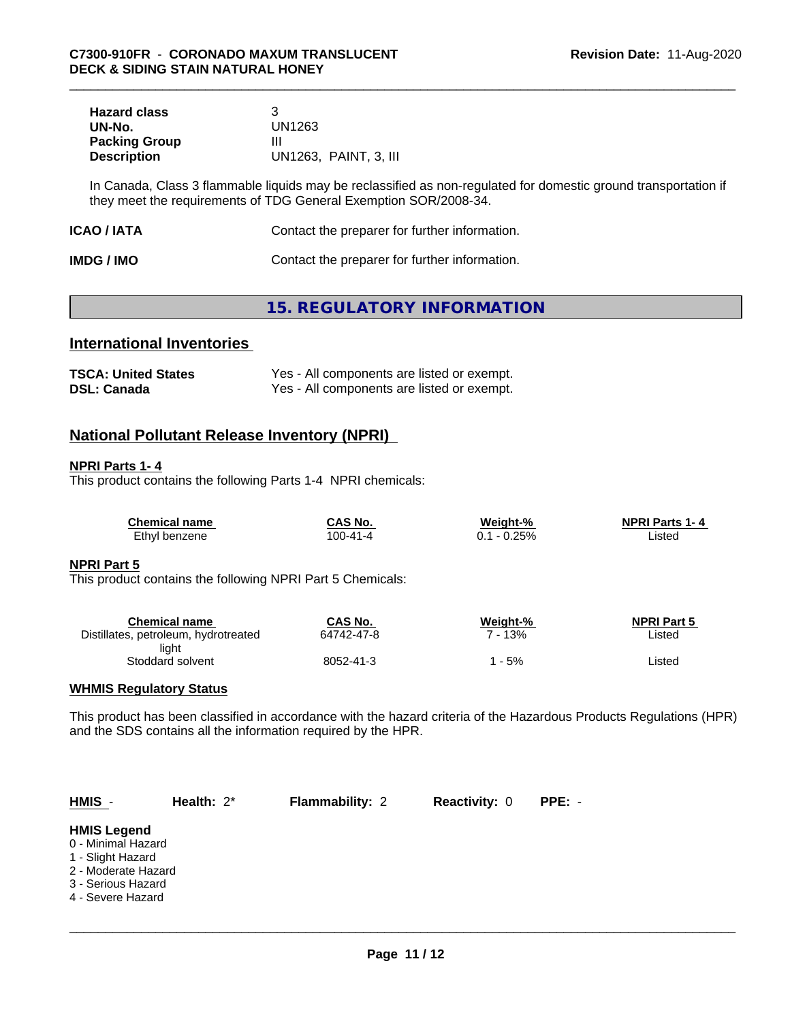| <b>Hazard class</b>  |                       |
|----------------------|-----------------------|
| UN-No.               | UN1263                |
| <b>Packing Group</b> | Ш                     |
| <b>Description</b>   | UN1263, PAINT, 3, III |

In Canada, Class 3 flammable liquids may be reclassified as non-regulated for domestic ground transportation if they meet the requirements of TDG General Exemption SOR/2008-34.

| ICAO / IATA | Contact the preparer for further information. |
|-------------|-----------------------------------------------|
|-------------|-----------------------------------------------|

| <b>IMDG / IMO</b> | Contact the preparer for further information. |
|-------------------|-----------------------------------------------|
|-------------------|-----------------------------------------------|

# **15. REGULATORY INFORMATION**

# **International Inventories**

| <b>TSCA: United States</b> | Yes - All components are listed or exempt. |
|----------------------------|--------------------------------------------|
| <b>DSL: Canada</b>         | Yes - All components are listed or exempt. |

# **National Pollutant Release Inventory (NPRI)**

### **NPRI Parts 1- 4**

This product contains the following Parts 1-4 NPRI chemicals:

| <b>Chemical name</b> | CAS No.       | Weight-% | <b>NPRI Parts 1-4</b> |
|----------------------|---------------|----------|-----------------------|
| Ethyl benzene        | $00 - 41 - 4$ | $-0.25%$ | ∟isted                |

### **NPRI Part 5**

This product contains the following NPRI Part 5 Chemicals:

| Chemical name                        | CAS No.    | Weight-% | <b>NPRI Part 5</b> |
|--------------------------------------|------------|----------|--------------------|
| Distillates, petroleum, hydrotreated | 64742-47-8 | 13%      | Listed             |
| light                                |            |          |                    |
| Stoddard solvent                     | 8052-41-3  | - 5%     | Listed             |

# **WHMIS Regulatory Status**

This product has been classified in accordance with the hazard criteria of the Hazardous Products Regulations (HPR) and the SDS contains all the information required by the HPR.

| $HMIS -$                                                                                                                        | Health: $2^*$ | <b>Flammability: 2</b> | <b>Reactivity: 0</b> | PPE: - |  |
|---------------------------------------------------------------------------------------------------------------------------------|---------------|------------------------|----------------------|--------|--|
| <b>HMIS Legend</b><br>0 - Minimal Hazard<br>1 - Slight Hazard<br>2 - Moderate Hazard<br>3 - Serious Hazard<br>4 - Severe Hazard |               |                        |                      |        |  |
|                                                                                                                                 |               |                        |                      |        |  |